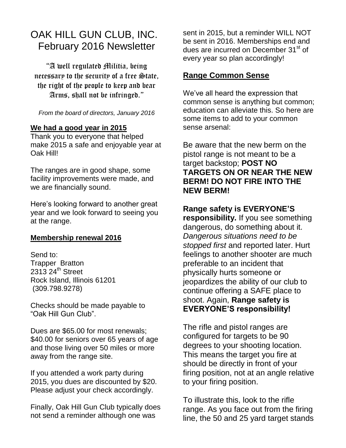# OAK HILL GUN CLUB, INC. February 2016 Newsletter

"A well regulated Militia, being necessary to the security of a free  $\triangle$ tate. the right of the people to keep and bear Arms, shall not be infringed."

## *From the board of directors, January 2016*

## **We had a good year in 2015**

Thank you to everyone that helped make 2015 a safe and enjoyable year at Oak Hill!

The ranges are in good shape, some facility improvements were made, and we are financially sound.

Here's looking forward to another great year and we look forward to seeing you at the range.

## **Membership renewal 2016**

Send to: Trapper Bratton  $231324$ <sup>th</sup> Street Rock Island, Illinois 61201 (309.798.9278)

Checks should be made payable to "Oak Hill Gun Club".

Dues are \$65.00 for most renewals; \$40.00 for seniors over 65 years of age and those living over 50 miles or more away from the range site.

If you attended a work party during 2015, you dues are discounted by \$20. Please adjust your check accordingly.

Finally, Oak Hill Gun Club typically does not send a reminder although one was

sent in 2015, but a reminder WILL NOT be sent in 2016. Memberships end and dues are incurred on December 31<sup>st</sup> of every year so plan accordingly!

## **Range Common Sense**

We've all heard the expression that common sense is anything but common; education can alleviate this. So here are some items to add to your common sense arsenal:

Be aware that the new berm on the pistol range is not meant to be a target backstop; **POST NO TARGETS ON OR NEAR THE NEW BERM! DO NOT FIRE INTO THE NEW BERM!**

## **Range safety is EVERYONE'S**

**responsibility.** If you see something dangerous, do something about it. *Dangerous situations need to be stopped first* and reported later. Hurt feelings to another shooter are much preferable to an incident that physically hurts someone or jeopardizes the ability of our club to continue offering a SAFE place to shoot. Again, **Range safety is EVERYONE'S responsibility!**

The rifle and pistol ranges are configured for targets to be 90 degrees to your shooting location. This means the target you fire at should be directly in front of your firing position, not at an angle relative to your firing position.

To illustrate this, look to the rifle range. As you face out from the firing line, the 50 and 25 yard target stands